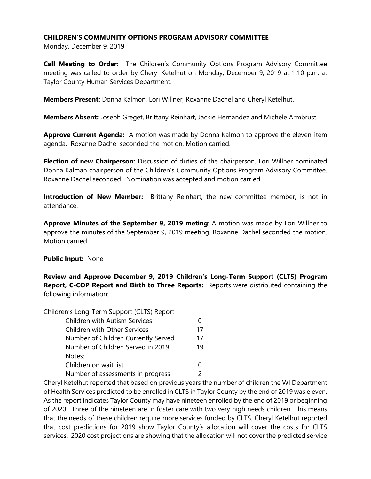## **CHILDREN'S COMMUNITY OPTIONS PROGRAM ADVISORY COMMITTEE**

Monday, December 9, 2019

**Call Meeting to Order:** The Children's Community Options Program Advisory Committee meeting was called to order by Cheryl Ketelhut on Monday, December 9, 2019 at 1:10 p.m. at Taylor County Human Services Department.

**Members Present:** Donna Kalmon, Lori Willner, Roxanne Dachel and Cheryl Ketelhut.

**Members Absent:** Joseph Greget, Brittany Reinhart, Jackie Hernandez and Michele Armbrust

**Approve Current Agenda:** A motion was made by Donna Kalmon to approve the eleven-item agenda. Roxanne Dachel seconded the motion. Motion carried.

**Election of new Chairperson:** Discussion of duties of the chairperson. Lori Willner nominated Donna Kalman chairperson of the Children's Community Options Program Advisory Committee. Roxanne Dachel seconded. Nomination was accepted and motion carried.

**Introduction of New Member:** Brittany Reinhart, the new committee member, is not in attendance.

**Approve Minutes of the September 9, 2019 meting**: A motion was made by Lori Willner to approve the minutes of the September 9, 2019 meeting. Roxanne Dachel seconded the motion. Motion carried.

#### **Public Input:** None

**Review and Approve December 9, 2019 Children's Long-Term Support (CLTS) Program Report, C-COP Report and Birth to Three Reports:** Reports were distributed containing the following information:

| Children's Long-Term Support (CLTS) Report |    |
|--------------------------------------------|----|
| <b>Children with Autism Services</b>       |    |
| <b>Children with Other Services</b>        | 17 |
| Number of Children Currently Served        | 17 |
| Number of Children Served in 2019          | 19 |
| Notes:                                     |    |
| Children on wait list                      |    |
| Number of assessments in progress          |    |
|                                            |    |

Cheryl Ketelhut reported that based on previous years the number of children the WI Department of Health Services predicted to be enrolled in CLTS in Taylor County by the end of 2019 was eleven. As the report indicates Taylor County may have nineteen enrolled by the end of 2019 or beginning of 2020. Three of the nineteen are in foster care with two very high needs children. This means that the needs of these children require more services funded by CLTS. Cheryl Ketelhut reported that cost predictions for 2019 show Taylor County's allocation will cover the costs for CLTS services. 2020 cost projections are showing that the allocation will not cover the predicted service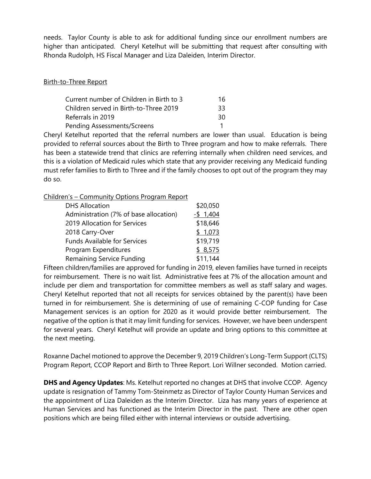needs. Taylor County is able to ask for additional funding since our enrollment numbers are higher than anticipated. Cheryl Ketelhut will be submitting that request after consulting with Rhonda Rudolph, HS Fiscal Manager and Liza Daleiden, Interim Director.

### Birth-to-Three Report

| Current number of Children in Birth to 3 | 16. |
|------------------------------------------|-----|
| Children served in Birth-to-Three 2019   | 33  |
| Referrals in 2019                        | 30  |
| Pending Assessments/Screens              |     |

Cheryl Ketelhut reported that the referral numbers are lower than usual. Education is being provided to referral sources about the Birth to Three program and how to make referrals. There has been a statewide trend that clinics are referring internally when children need services, and this is a violation of Medicaid rules which state that any provider receiving any Medicaid funding must refer families to Birth to Three and if the family chooses to opt out of the program they may do so.

Children's – Community Options Program Report

| <b>DHS Allocation</b>                  | \$20,050     |
|----------------------------------------|--------------|
| Administration (7% of base allocation) | $-$ \$ 1,404 |
| 2019 Allocation for Services           | \$18,646     |
| 2018 Carry-Over                        | \$1,073      |
| <b>Funds Available for Services</b>    | \$19,719     |
| Program Expenditures                   | \$8,575      |
| Remaining Service Funding              | \$11,144     |

Fifteen children/families are approved for funding in 2019, eleven families have turned in receipts for reimbursement. There is no wait list. Administrative fees at 7% of the allocation amount and include per diem and transportation for committee members as well as staff salary and wages. Cheryl Ketelhut reported that not all receipts for services obtained by the parent(s) have been turned in for reimbursement. She is determining of use of remaining C-COP funding for Case Management services is an option for 2020 as it would provide better reimbursement. The negative of the option is that it may limit funding for services. However, we have been underspent for several years. Cheryl Ketelhut will provide an update and bring options to this committee at the next meeting.

Roxanne Dachel motioned to approve the December 9, 2019 Children's Long-Term Support (CLTS) Program Report, CCOP Report and Birth to Three Report. Lori Willner seconded. Motion carried.

**DHS and Agency Updates**: Ms. Ketelhut reported no changes at DHS that involve CCOP. Agency update is resignation of Tammy Tom-Steinmetz as Director of Taylor County Human Services and the appointment of Liza Daleiden as the Interim Director. Liza has many years of experience at Human Services and has functioned as the Interim Director in the past. There are other open positions which are being filled either with internal interviews or outside advertising.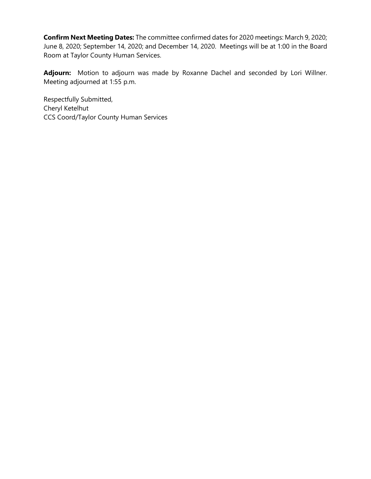**Confirm Next Meeting Dates:** The committee confirmed dates for 2020 meetings: March 9, 2020; June 8, 2020; September 14, 2020; and December 14, 2020. Meetings will be at 1:00 in the Board Room at Taylor County Human Services.

**Adjourn:** Motion to adjourn was made by Roxanne Dachel and seconded by Lori Willner. Meeting adjourned at 1:55 p.m.

Respectfully Submitted, Cheryl Ketelhut CCS Coord/Taylor County Human Services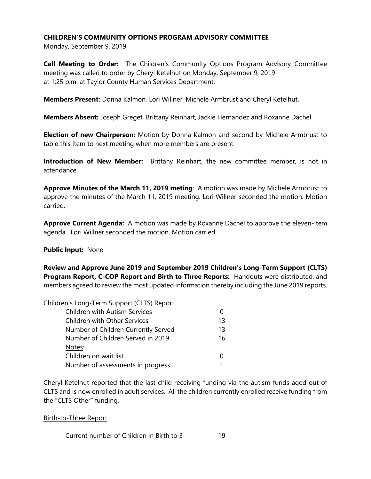# **CHILDREN'S COMMUNITY OPTIONS PROGRAM ADVISORY COMMITTEE**

Monday, September 9, 2019

**Call Meeting to Order:** The Children's Community Options Program Advisory Committee meeting was called to order by Cheryl Ketelhut on Monday, September 9, 2019 at 1:25 p.m. at Taylor County Human Services Department.

**Members Present:** Donna Kalmon, Lori Willner, Michele Armbrust and Cheryl Ketelhut.

**Members Absent:** Joseph Greget, Brittany Reinhart, Jackie Hernandez and Roxanne Dachel

**Election of new Chairperson:** Motion by Donna Kalmon and second by Michele Armbrust to table this item to next meeting when more members are present.

**Introduction of New Member:** Brittany Reinhart, the new committee member, is not in attendance.

**Approve Minutes of the March 11, 2019 meting**: A motion was made by Michele Armbrust to approve the minutes of the March 11, 2019 meeting. Lori Willner seconded the motion. Motion carried.

**Approve Current Agenda:** A motion was made by Roxanne Dachel to approve the eleven-item agenda. Lori Willner seconded the motion. Motion carried.

#### **Public Input:** None

**Review and Approve June 2019 and September 2019 Children's Long-Term Support (CLTS) Program Report, C-COP Report and Birth to Three Reports:** Handouts were distributed, and members agreed to review the most updated information thereby including the June 2019 reports.

#### Children's Long-Term Support (CLTS) Report

| <b>Children with Autism Services</b> |    |
|--------------------------------------|----|
| <b>Children with Other Services</b>  | 13 |
| Number of Children Currently Served  | 13 |
| Number of Children Served in 2019    | 16 |
| Notes:                               |    |
| Children on wait list                |    |
| Number of assessments in progress    |    |

Cheryl Ketelhut reported that the last child receiving funding via the autism funds aged out of CLTS and is now enrolled in adult services. All the children currently enrolled receive funding from the "CLTS Other" funding.

Birth-to-Three Report

Current number of Children in Birth to 3 19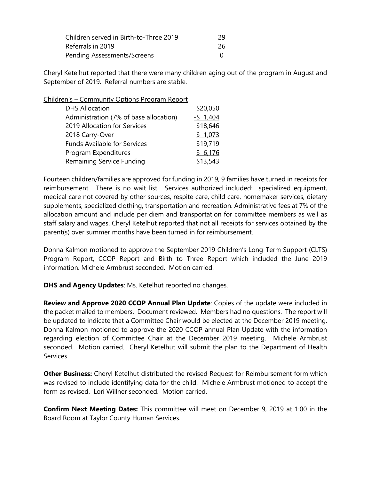| Children served in Birth-to-Three 2019 | 29 |
|----------------------------------------|----|
| Referrals in 2019                      | 26 |
| Pending Assessments/Screens            |    |

Cheryl Ketelhut reported that there were many children aging out of the program in August and September of 2019. Referral numbers are stable.

Children's – Community Options Program Report

| <b>DHS Allocation</b>                  | \$20,050     |
|----------------------------------------|--------------|
| Administration (7% of base allocation) | $-$ \$ 1,404 |
| 2019 Allocation for Services           | \$18,646     |
| 2018 Carry-Over                        | \$1,073      |
| <b>Funds Available for Services</b>    | \$19,719     |
| Program Expenditures                   | \$6,176      |
| <b>Remaining Service Funding</b>       | \$13,543     |
|                                        |              |

Fourteen children/families are approved for funding in 2019, 9 families have turned in receipts for reimbursement. There is no wait list. Services authorized included: specialized equipment, medical care not covered by other sources, respite care, child care, homemaker services, dietary supplements, specialized clothing, transportation and recreation. Administrative fees at 7% of the allocation amount and include per diem and transportation for committee members as well as staff salary and wages. Cheryl Ketelhut reported that not all receipts for services obtained by the parent(s) over summer months have been turned in for reimbursement.

Donna Kalmon motioned to approve the September 2019 Children's Long-Term Support (CLTS) Program Report, CCOP Report and Birth to Three Report which included the June 2019 information. Michele Armbrust seconded. Motion carried.

**DHS and Agency Updates**: Ms. Ketelhut reported no changes.

**Review and Approve 2020 CCOP Annual Plan Update**: Copies of the update were included in the packet mailed to members. Document reviewed. Members had no questions. The report will be updated to indicate that a Committee Chair would be elected at the December 2019 meeting. Donna Kalmon motioned to approve the 2020 CCOP annual Plan Update with the information regarding election of Committee Chair at the December 2019 meeting. Michele Armbrust seconded. Motion carried. Cheryl Ketelhut will submit the plan to the Department of Health Services.

**Other Business:** Cheryl Ketelhut distributed the revised Request for Reimbursement form which was revised to include identifying data for the child. Michele Armbrust motioned to accept the form as revised. Lori Willner seconded. Motion carried.

**Confirm Next Meeting Dates:** This committee will meet on December 9, 2019 at 1:00 in the Board Room at Taylor County Human Services.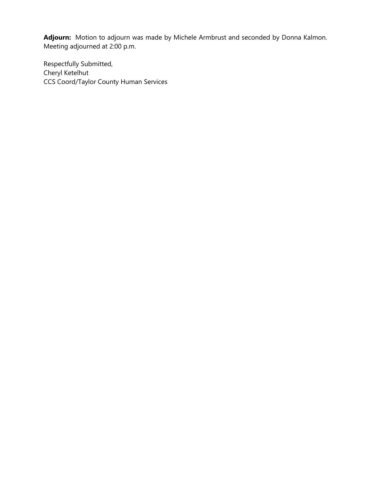**Adjourn:** Motion to adjourn was made by Michele Armbrust and seconded by Donna Kalmon. Meeting adjourned at 2:00 p.m.

Respectfully Submitted, Cheryl Ketelhut CCS Coord/Taylor County Human Services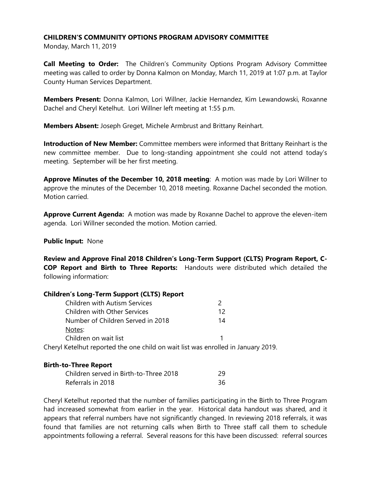## **CHILDREN'S COMMUNITY OPTIONS PROGRAM ADVISORY COMMITTEE**

Monday, March 11, 2019

**Call Meeting to Order:** The Children's Community Options Program Advisory Committee meeting was called to order by Donna Kalmon on Monday, March 11, 2019 at 1:07 p.m. at Taylor County Human Services Department.

**Members Present:** Donna Kalmon, Lori Willner, Jackie Hernandez, Kim Lewandowski, Roxanne Dachel and Cheryl Ketelhut. Lori Willner left meeting at 1:55 p.m.

**Members Absent:** Joseph Greget, Michele Armbrust and Brittany Reinhart.

**Introduction of New Member:** Committee members were informed that Brittany Reinhart is the new committee member. Due to long-standing appointment she could not attend today's meeting. September will be her first meeting.

**Approve Minutes of the December 10, 2018 meeting**: A motion was made by Lori Willner to approve the minutes of the December 10, 2018 meeting. Roxanne Dachel seconded the motion. Motion carried.

**Approve Current Agenda:** A motion was made by Roxanne Dachel to approve the eleven-item agenda. Lori Willner seconded the motion. Motion carried.

#### **Public Input:** None

**Review and Approve Final 2018 Children's Long-Term Support (CLTS) Program Report, C-COP Report and Birth to Three Reports:** Handouts were distributed which detailed the following information:

| <b>Children's Long-Term Support (CLTS) Report</b>                                 |    |
|-----------------------------------------------------------------------------------|----|
| <b>Children with Autism Services</b>                                              | 2  |
| <b>Children with Other Services</b>                                               | 12 |
| Number of Children Served in 2018                                                 | 14 |
| Notes:                                                                            |    |
| Children on wait list                                                             |    |
| Cheryl Ketelhut reported the one child on wait list was enrolled in January 2019. |    |

#### **Birth-to-Three Report**

| Children served in Birth-to-Three 2018 | 29 |
|----------------------------------------|----|
| Referrals in 2018                      | 36 |

Cheryl Ketelhut reported that the number of families participating in the Birth to Three Program had increased somewhat from earlier in the year. Historical data handout was shared, and it appears that referral numbers have not significantly changed. In reviewing 2018 referrals, it was found that families are not returning calls when Birth to Three staff call them to schedule appointments following a referral. Several reasons for this have been discussed: referral sources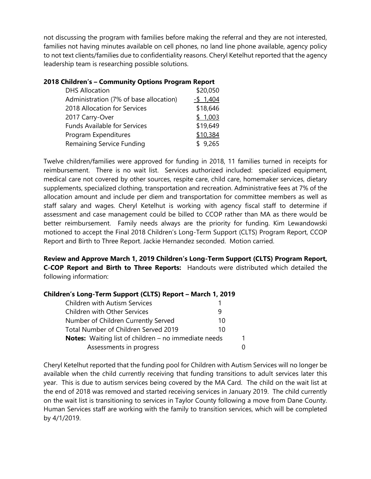not discussing the program with families before making the referral and they are not interested, families not having minutes available on cell phones, no land line phone available, agency policy to not text clients/families due to confidentiality reasons. Cheryl Ketelhut reported that the agency leadership team is researching possible solutions.

|  | 2018 Children's - Community Options Program Report |  |  |
|--|----------------------------------------------------|--|--|
|  |                                                    |  |  |

| <b>DHS Allocation</b>                  | \$20,050     |
|----------------------------------------|--------------|
| Administration (7% of base allocation) | $-$ \$ 1,404 |
| 2018 Allocation for Services           | \$18,646     |
| 2017 Carry-Over                        | \$1,003      |
| <b>Funds Available for Services</b>    | \$19,649     |
| Program Expenditures                   | \$10,384     |
| <b>Remaining Service Funding</b>       | \$9,265      |

Twelve children/families were approved for funding in 2018, 11 families turned in receipts for reimbursement. There is no wait list. Services authorized included: specialized equipment, medical care not covered by other sources, respite care, child care, homemaker services, dietary supplements, specialized clothing, transportation and recreation. Administrative fees at 7% of the allocation amount and include per diem and transportation for committee members as well as staff salary and wages. Cheryl Ketelhut is working with agency fiscal staff to determine if assessment and case management could be billed to CCOP rather than MA as there would be better reimbursement. Family needs always are the priority for funding. Kim Lewandowski motioned to accept the Final 2018 Children's Long-Term Support (CLTS) Program Report, CCOP Report and Birth to Three Report. Jackie Hernandez seconded. Motion carried.

**Review and Approve March 1, 2019 Children's Long-Term Support (CLTS) Program Report, C-COP Report and Birth to Three Reports:** Handouts were distributed which detailed the following information:

#### **Children's Long-Term Support (CLTS) Report – March 1, 2019**

| <b>Children with Autism Services</b>                        |    |    |
|-------------------------------------------------------------|----|----|
| <b>Children with Other Services</b>                         | 9  |    |
| Number of Children Currently Served                         | 10 |    |
| Total Number of Children Served 2019                        | 10 |    |
| <b>Notes:</b> Waiting list of children - no immediate needs |    | 1. |
| Assessments in progress                                     |    |    |

Cheryl Ketelhut reported that the funding pool for Children with Autism Services will no longer be available when the child currently receiving that funding transitions to adult services later this year. This is due to autism services being covered by the MA Card. The child on the wait list at the end of 2018 was removed and started receiving services in January 2019. The child currently on the wait list is transitioning to services in Taylor County following a move from Dane County. Human Services staff are working with the family to transition services, which will be completed by 4/1/2019.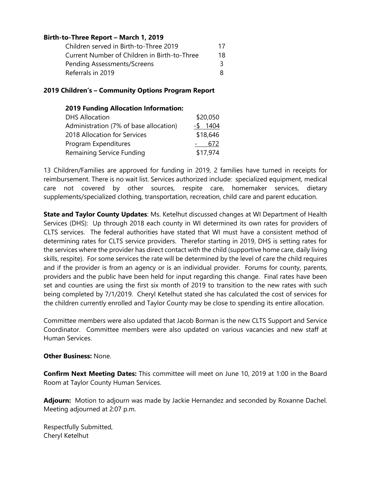## **Birth-to-Three Report – March 1, 2019**

| Children served in Birth-to-Three 2019       | 17 |
|----------------------------------------------|----|
| Current Number of Children in Birth-to-Three | 18 |
| <b>Pending Assessments/Screens</b>           | 3. |
| Referrals in 2019                            |    |

#### **2019 Children's – Community Options Program Report**

| <b>2019 Funding Allocation Information:</b> |              |
|---------------------------------------------|--------------|
| <b>DHS Allocation</b>                       | \$20,050     |
| Administration (7% of base allocation)      | 1404<br>$-5$ |
| 2018 Allocation for Services                | \$18,646     |
| Program Expenditures                        | 672          |
| <b>Remaining Service Funding</b>            | \$17,974     |

13 Children/Families are approved for funding in 2019, 2 families have turned in receipts for reimbursement. There is no wait list. Services authorized include: specialized equipment, medical care not covered by other sources, respite care, homemaker services, dietary supplements/specialized clothing, transportation, recreation, child care and parent education.

**State and Taylor County Updates**: Ms. Ketelhut discussed changes at WI Department of Health Services (DHS): Up through 2018 each county in WI determined its own rates for providers of CLTS services. The federal authorities have stated that WI must have a consistent method of determining rates for CLTS service providers. Therefor starting in 2019, DHS is setting rates for the services where the provider has direct contact with the child (supportive home care, daily living skills, respite). For some services the rate will be determined by the level of care the child requires and if the provider is from an agency or is an individual provider. Forums for county, parents, providers and the public have been held for input regarding this change. Final rates have been set and counties are using the first six month of 2019 to transition to the new rates with such being completed by 7/1/2019. Cheryl Ketelhut stated she has calculated the cost of services for the children currently enrolled and Taylor County may be close to spending its entire allocation.

Committee members were also updated that Jacob Borman is the new CLTS Support and Service Coordinator. Committee members were also updated on various vacancies and new staff at Human Services.

#### **Other Business:** None.

**Confirm Next Meeting Dates:** This committee will meet on June 10, 2019 at 1:00 in the Board Room at Taylor County Human Services.

**Adjourn:** Motion to adjourn was made by Jackie Hernandez and seconded by Roxanne Dachel. Meeting adjourned at 2:07 p.m.

Respectfully Submitted, Cheryl Ketelhut